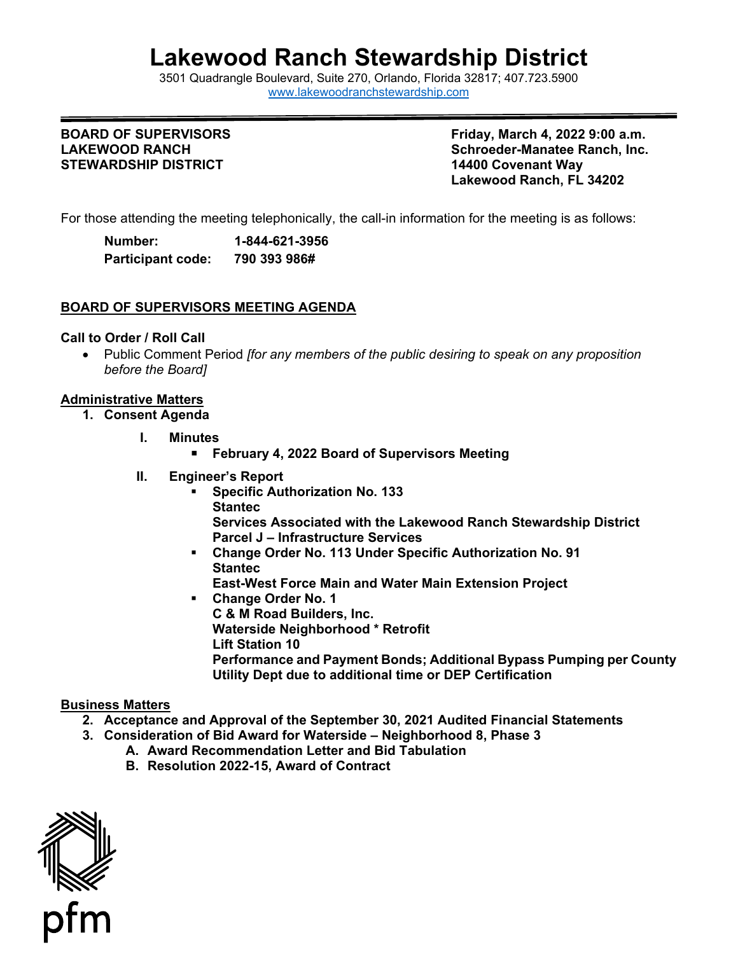# **Lakewood Ranch Stewardship District**

 3501 Quadrangle Boulevard, Suite 270, Orlando, Florida 32817; 407.723.5900 [www.lakewoodranchstewardship.com](http://www.lakewoodranchstewardship.com/) 

#### **BOARD OF SUPERVISORS LAKEWOOD RANCH STEWARDSHIP DISTRICT 14400 Covenant Way**

**Friday, March 4, 2022 9:00 a.m. Schroeder-Manatee Ranch, Inc. Lakewood Ranch, FL 34202** 

For those attending the meeting telephonically, the call-in information for the meeting is as follows:

| Number:                  | 1-844-621-3956 |
|--------------------------|----------------|
| <b>Participant code:</b> | 790 393 986#   |

# **BOARD OF SUPERVISORS MEETING AGENDA**

#### **Call to Order / Roll Call**

• Public Comment Period *[for any members of the public desiring to speak on any proposition before the Board]* 

# **Administrative Matters**

- **1. Consent Agenda** 
	- **I. Minutes** 
		- **February 4, 2022 Board of Supervisors Meeting**
	- **II. Engineer's Report** 
		- **Specific Authorization No. 133 Stantec Services Associated with the Lakewood Ranch Stewardship District Parcel J – Infrastructure Services**
		- **Change Order No. 113 Under Specific Authorization No. 91 Stantec** 
			- **East-West Force Main and Water Main Extension Project**
		- **Change Order No. 1 C & M Road Builders, Inc. Waterside Neighborhood \* Retrofit Lift Station 10 Performance and Payment Bonds; Additional Bypass Pumping per County Utility Dept due to additional time or DEP Certification**

# **Business Matters**

- **2. Acceptance and Approval of the September 30, 2021 Audited Financial Statements**
- **3. Consideration of Bid Award for Waterside Neighborhood 8, Phase 3** 
	- **A. Award Recommendation Letter and Bid Tabulation** 
		- **B. Resolution 2022-15, Award of Contract**